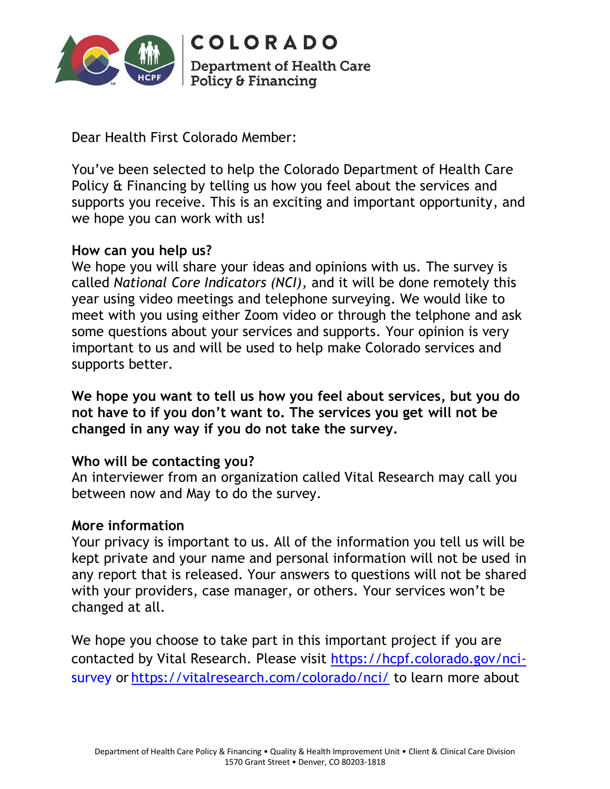

**COLORADO Department of Health Care Policy & Financing** 

Dear Health First Colorado Member:

You've been selected to help the Colorado Department of Health Care Policy & Financing by telling us how you feel about the services and supports you receive. This is an exciting and important opportunity, and we hope you can work with us!

## **How can you help us?**

We hope you will share your ideas and opinions with us. The survey is called *National Core Indicators (NCI),* and it will be done remotely this year using video meetings and telephone surveying. We would like to meet with you using either Zoom video or through the telphone and ask some questions about your services and supports. Your opinion is very important to us and will be used to help make Colorado services and supports better.

**We hope you want to tell us how you feel about services, but you do not have to if you don't want to. The services you get will not be changed in any way if you do not take the survey.** 

## **Who will be contacting you?**

An interviewer from an organization called Vital Research may call you between now and May to do the survey.

## **More information**

Your privacy is important to us. All of the information you tell us will be kept private and your name and personal information will not be used in any report that is released. Your answers to questions will not be shared with your providers, case manager, or others. Your services won't be changed at all.

We hope you choose to take part in this important project if you are contacted by Vital Research. Please visit [https://hcpf.colorado.gov/nci](https://hcpf.colorado.gov/nci-survey)[survey](https://hcpf.colorado.gov/nci-survey) or <https://vitalresearch.com/colorado/nci/> to learn more about